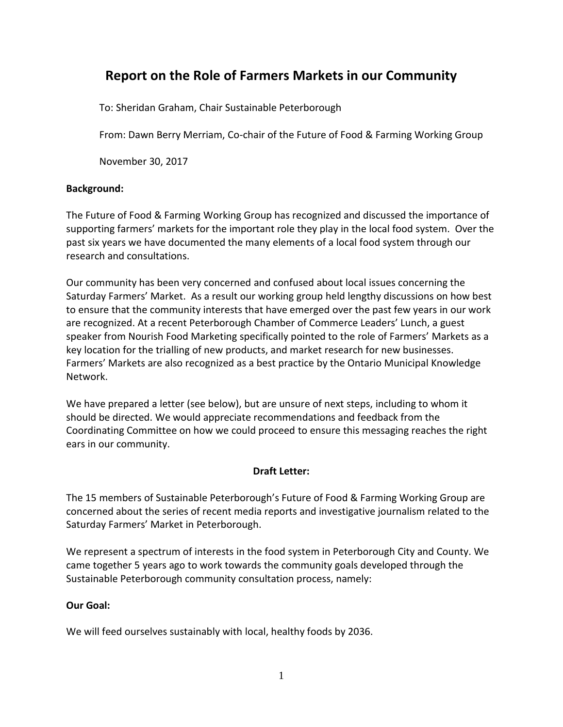# **Report on the Role of Farmers Markets in our Community**

To: Sheridan Graham, Chair Sustainable Peterborough

From: Dawn Berry Merriam, Co-chair of the Future of Food & Farming Working Group

November 30, 2017

### **Background:**

The Future of Food & Farming Working Group has recognized and discussed the importance of supporting farmers' markets for the important role they play in the local food system. Over the past six years we have documented the many elements of a local food system through our research and consultations.

Our community has been very concerned and confused about local issues concerning the Saturday Farmers' Market. As a result our working group held lengthy discussions on how best to ensure that the community interests that have emerged over the past few years in our work are recognized. At a recent Peterborough Chamber of Commerce Leaders' Lunch, a guest speaker from Nourish Food Marketing specifically pointed to the role of Farmers' Markets as a key location for the trialling of new products, and market research for new businesses. Farmers' Markets are also recognized as a best practice by the Ontario Municipal Knowledge Network.

We have prepared a letter (see below), but are unsure of next steps, including to whom it should be directed. We would appreciate recommendations and feedback from the Coordinating Committee on how we could proceed to ensure this messaging reaches the right ears in our community.

# **Draft Letter:**

The 15 members of Sustainable Peterborough's Future of Food & Farming Working Group are concerned about the series of recent media reports and investigative journalism related to the Saturday Farmers' Market in Peterborough.

We represent a spectrum of interests in the food system in Peterborough City and County. We came together 5 years ago to work towards the community goals developed through the Sustainable Peterborough community consultation process, namely:

# **Our Goal:**

We will feed ourselves sustainably with local, healthy foods by 2036.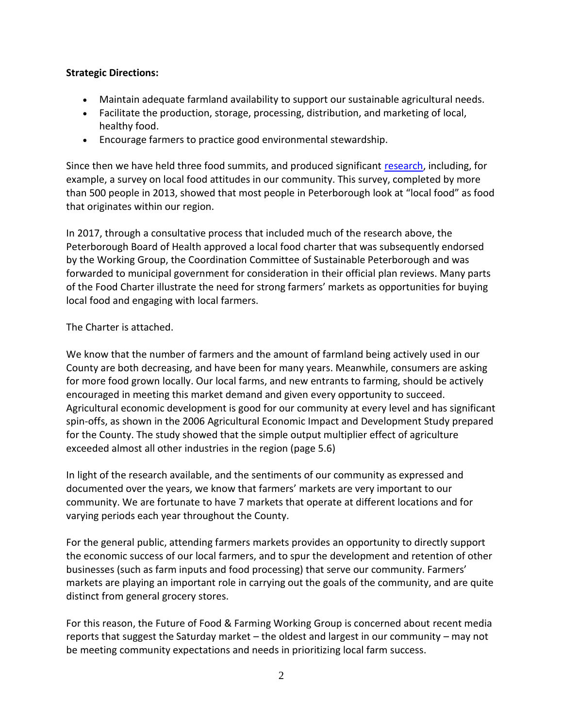#### **Strategic Directions:**

- Maintain adequate farmland availability to support our sustainable agricultural needs.
- Facilitate the production, storage, processing, distribution, and marketing of local, healthy food.
- Encourage farmers to practice good environmental stewardship.

Since then we have held three food summits, and produced significant [research,](https://sustainablepeterborough.ca/about-us/working-groups/future-of-food-and-farming-working-group/) including, for example, a survey on local food attitudes in our community. This survey, completed by more than 500 people in 2013, showed that most people in Peterborough look at "local food" as food that originates within our region.

In 2017, through a consultative process that included much of the research above, the Peterborough Board of Health approved a local food charter that was subsequently endorsed by the Working Group, the Coordination Committee of Sustainable Peterborough and was forwarded to municipal government for consideration in their official plan reviews. Many parts of the Food Charter illustrate the need for strong farmers' markets as opportunities for buying local food and engaging with local farmers.

### The Charter is attached.

We know that the number of farmers and the amount of farmland being actively used in our County are both decreasing, and have been for many years. Meanwhile, consumers are asking for more food grown locally. Our local farms, and new entrants to farming, should be actively encouraged in meeting this market demand and given every opportunity to succeed. Agricultural economic development is good for our community at every level and has significant spin-offs, as shown in the 2006 Agricultural Economic Impact and Development Study prepared for the County. The study showed that the simple output multiplier effect of agriculture exceeded almost all other industries in the region (page 5.6)

In light of the research available, and the sentiments of our community as expressed and documented over the years, we know that farmers' markets are very important to our community. We are fortunate to have 7 markets that operate at different locations and for varying periods each year throughout the County.

For the general public, attending farmers markets provides an opportunity to directly support the economic success of our local farmers, and to spur the development and retention of other businesses (such as farm inputs and food processing) that serve our community. Farmers' markets are playing an important role in carrying out the goals of the community, and are quite distinct from general grocery stores.

For this reason, the Future of Food & Farming Working Group is concerned about recent media reports that suggest the Saturday market – the oldest and largest in our community – may not be meeting community expectations and needs in prioritizing local farm success.